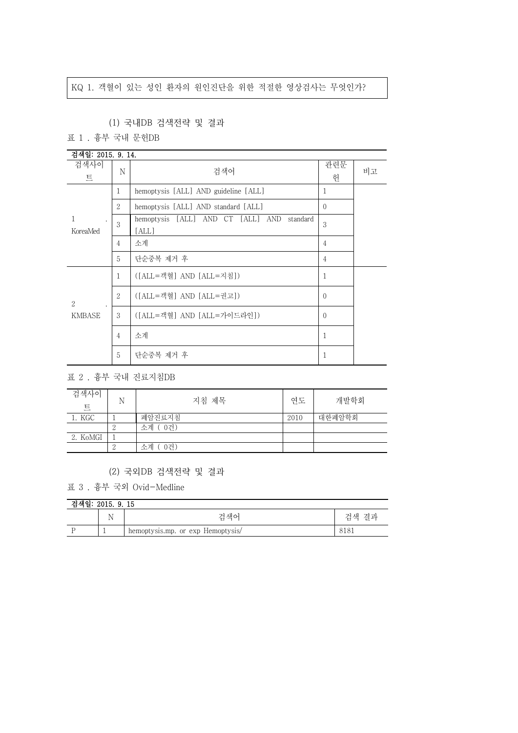## KQ 1. 객혈이 있는 성인 환자의 원인진단을 위한 적절한 영상검사는 무엇인가?

## (1) 국내DB 검색전략 및 결과

표 1 . 흉부 국내 문헌DB

| 검색일: 2015. 9. 14.                   |                             |                                                        |                |    |  |
|-------------------------------------|-----------------------------|--------------------------------------------------------|----------------|----|--|
| 검색사이<br>트                           | N                           | 검색어                                                    | 관련문<br>헌       | 비고 |  |
|                                     | 1                           | hemoptysis [ALL] AND guideline [ALL]                   | 1              |    |  |
|                                     | $\overline{2}$              | hemoptysis [ALL] AND standard [ALL]                    | $\Omega$       |    |  |
| $\mathbf{1}$<br>$\cdot$<br>KoreaMed | 3                           | hemoptysis [ALL] AND CT [ALL] AND<br>standard<br>[ALL] | 3              |    |  |
|                                     | $\overline{4}$              | 소계                                                     | $\overline{4}$ |    |  |
|                                     | 5                           | 단순중복 제거 후                                              | $\overline{4}$ |    |  |
|                                     | 1                           | ([ALL=객혈] AND [ALL=지침])                                | 1              |    |  |
| $\mathcal{L}$                       | $\mathcal{D}_{\mathcal{L}}$ | ([ALL=객혈] AND [ALL=권고])                                | $\Omega$       |    |  |
| <b>KMBASE</b>                       | 3                           | ([ALL=객혈] AND [ALL=가이드라인])                             | $\Omega$       |    |  |
|                                     | $\overline{4}$              | 소계                                                     | 1              |    |  |
|                                     | 5                           | 단순중복 제거 후                                              | 1              |    |  |

표 2 . 흉부 국내 진료지침DB

| 검색사이<br>트 | N | 지침 제목     | 연도   | 개발학회   |
|-----------|---|-----------|------|--------|
| 1. KGC    |   | 폐암진료지침    | 2010 | 대한폐암학회 |
|           |   | 소계 (0건)   |      |        |
| 2. KoMGI  |   |           |      |        |
|           |   | 0건)<br>소계 |      |        |

## (2) 국외DB 검색전략 및 결과

표 3 . 흉부 국외 Ovid-Medline

| 검색일: 2015. 9. 15 |  |  |  |  |  |
|------------------|--|--|--|--|--|
|------------------|--|--|--|--|--|

| ^납^~ 흰 · 4 ∪ LU . b . LU |          |                                   |                |  |
|--------------------------|----------|-----------------------------------|----------------|--|
|                          | <b>.</b> | 걱색어                               | 격과<br>74<br>크색 |  |
|                          |          | hemoptysis.mp. or exp Hemoptysis/ | 0101           |  |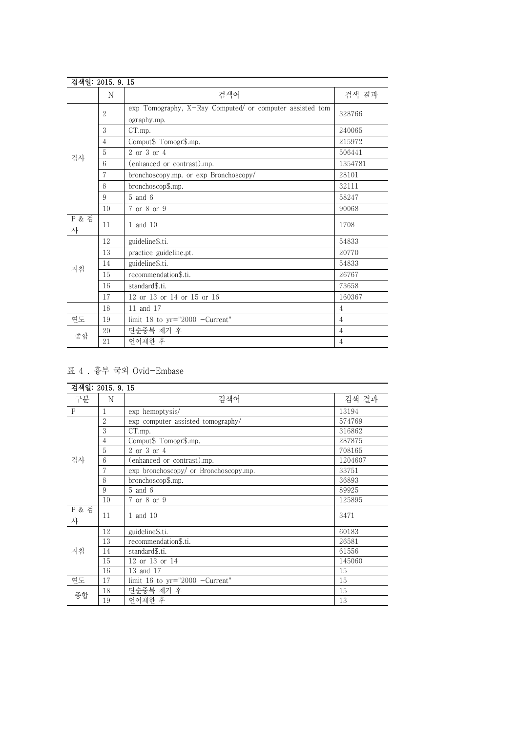| 검색일: 2015. 9. 15      |                |                                                                         |                |
|-----------------------|----------------|-------------------------------------------------------------------------|----------------|
|                       | N              | 검색어                                                                     | 검색 결과          |
|                       | $\overline{2}$ | exp Tomography, X-Ray Computed/ or computer assisted tom<br>ography.mp. | 328766         |
|                       | 3              | CT.mp.                                                                  | 240065         |
|                       | $\overline{4}$ | Comput\$ Tomogr\$.mp.                                                   | 215972         |
|                       | 5              | 2 or 3 or 4                                                             | 506441         |
| 검사                    | 6              | (enhanced or contrast).mp.                                              | 1354781        |
|                       | 7              | bronchoscopy.mp. or exp Bronchoscopy/                                   | 28101          |
|                       | 8              | bronchoscop\$.mp.                                                       | 32111          |
|                       | 9              | $5$ and $6$                                                             | 58247          |
|                       | 10             | 7 or 8 or 9                                                             | 90068          |
| <b>P &amp; 검</b><br>사 | 11             | 1 and 10                                                                | 1708           |
|                       | 12             | guideline\$.ti.                                                         | 54833          |
|                       | 13             | practice guideline.pt.                                                  | 20770          |
| 지침                    | 14             | guideline\$.ti.                                                         | 54833          |
|                       | 15             | recommendation\$.ti.                                                    | 26767          |
|                       | 16             | standard\$.ti.                                                          | 73658          |
|                       | 17             | 12 or 13 or 14 or 15 or 16                                              | 160367         |
|                       | 18             | 11 and 17                                                               | $\overline{4}$ |
| 연도                    | 19             | limit 18 to $yr="2000 -Current"$                                        | $\overline{4}$ |
| 종합                    | 20             | 단순중복 제거 후                                                               | $\overline{4}$ |
|                       | 21             | 언어제한 후                                                                  | $\overline{4}$ |

표 4 . 흉부 국외 Ovid-Embase

|              | 검색일: 2015, 9, 15 |                                       |         |
|--------------|------------------|---------------------------------------|---------|
| 구분           | N                | 검색어                                   | 검색 결과   |
| $\mathbf{P}$ | 1                | exp hemoptysis/                       | 13194   |
|              | $\overline{2}$   | exp computer assisted tomography/     | 574769  |
|              | 3                | CT.mp.                                | 316862  |
|              | $\overline{4}$   | Comput\$ Tomogr\$.mp.                 | 287875  |
|              | 5                | 2 or 3 or 4                           | 708165  |
| 검사           | 6                | (enhanced or contrast).mp.            | 1204607 |
|              | 7                | exp bronchoscopy/ or Bronchoscopy.mp. | 33751   |
|              | 8                | bronchoscop\$.mp.                     | 36893   |
|              | 9                | $5$ and $6$                           | 89925   |
|              | 10               | 7 or 8 or 9                           | 125895  |
| P & 검<br>사   | 11               | 1 and 10                              | 3471    |
|              | 12               | guideline\$.ti.                       | 60183   |
|              | 13               | recommendation\$.ti.                  | 26581   |
| 지침           | 14               | standard\$.ti.                        | 61556   |
|              | 15               | 12 or 13 or 14                        | 145060  |
|              | 16               | 13 and 17                             | 15      |
| 연도           | 17               | limit 16 to $yr="2000 -Current"$      | 15      |
| 종합           | 18               | 단순중복 제거 후                             | 15      |
|              | 19               | 언어제한 후                                | 13      |